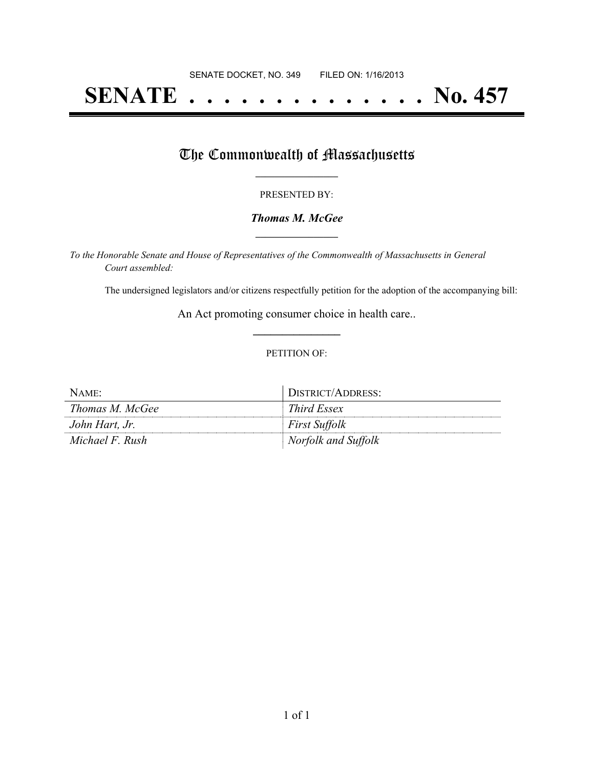# **SENATE . . . . . . . . . . . . . . No. 457**

## The Commonwealth of Massachusetts

### PRESENTED BY:

## *Thomas M. McGee* **\_\_\_\_\_\_\_\_\_\_\_\_\_\_\_\_\_**

*To the Honorable Senate and House of Representatives of the Commonwealth of Massachusetts in General Court assembled:*

The undersigned legislators and/or citizens respectfully petition for the adoption of the accompanying bill:

An Act promoting consumer choice in health care.. **\_\_\_\_\_\_\_\_\_\_\_\_\_\_\_**

### PETITION OF:

| NAME:           | DISTRICT/ADDRESS:    |
|-----------------|----------------------|
| Thomas M. McGee | Third Essex          |
| John Hart, Jr.  | <i>First Suffolk</i> |
| Michael F. Rush | Norfolk and Suffolk  |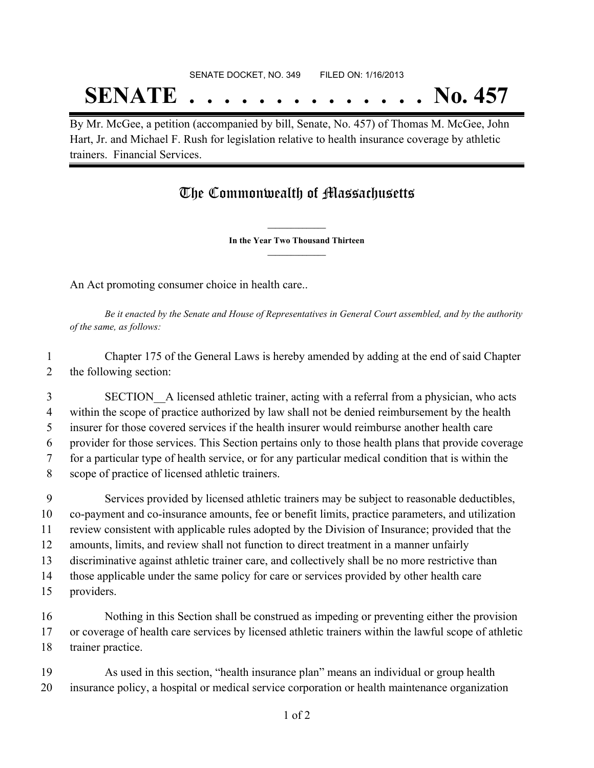# SENATE DOCKET, NO. 349 FILED ON: 1/16/2013 **SENATE . . . . . . . . . . . . . . No. 457**

By Mr. McGee, a petition (accompanied by bill, Senate, No. 457) of Thomas M. McGee, John Hart, Jr. and Michael F. Rush for legislation relative to health insurance coverage by athletic trainers. Financial Services.

# The Commonwealth of Massachusetts

**\_\_\_\_\_\_\_\_\_\_\_\_\_\_\_ In the Year Two Thousand Thirteen \_\_\_\_\_\_\_\_\_\_\_\_\_\_\_**

An Act promoting consumer choice in health care..

Be it enacted by the Senate and House of Representatives in General Court assembled, and by the authority *of the same, as follows:*

 Chapter 175 of the General Laws is hereby amended by adding at the end of said Chapter the following section:

 SECTION\_\_A licensed athletic trainer, acting with a referral from a physician, who acts within the scope of practice authorized by law shall not be denied reimbursement by the health insurer for those covered services if the health insurer would reimburse another health care provider for those services. This Section pertains only to those health plans that provide coverage for a particular type of health service, or for any particular medical condition that is within the scope of practice of licensed athletic trainers.

 Services provided by licensed athletic trainers may be subject to reasonable deductibles, co-payment and co-insurance amounts, fee or benefit limits, practice parameters, and utilization review consistent with applicable rules adopted by the Division of Insurance; provided that the amounts, limits, and review shall not function to direct treatment in a manner unfairly discriminative against athletic trainer care, and collectively shall be no more restrictive than those applicable under the same policy for care or services provided by other health care providers.

 Nothing in this Section shall be construed as impeding or preventing either the provision or coverage of health care services by licensed athletic trainers within the lawful scope of athletic trainer practice.

 As used in this section, "health insurance plan" means an individual or group health insurance policy, a hospital or medical service corporation or health maintenance organization